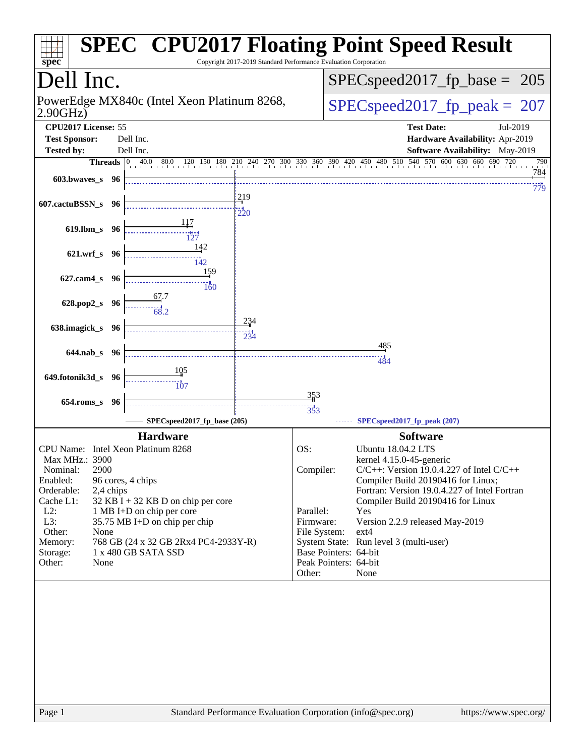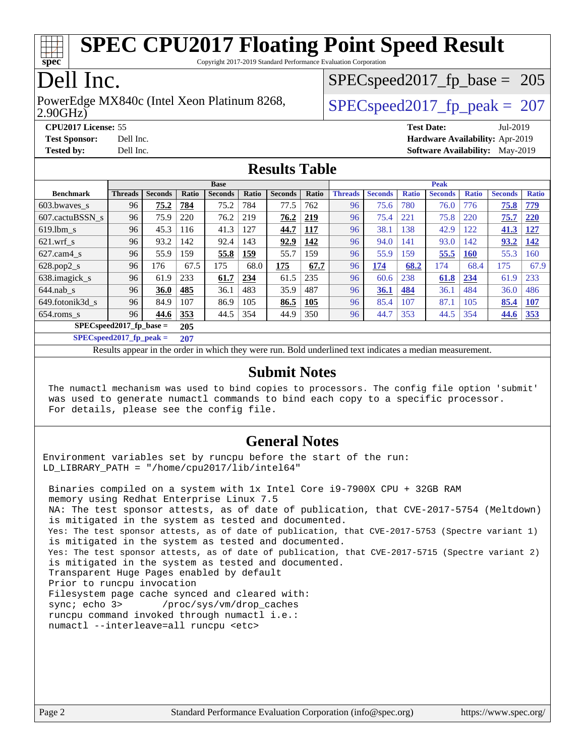

Copyright 2017-2019 Standard Performance Evaluation Corporation

## Dell Inc.

#### 2.90GHz) PowerEdge MX840c (Intel Xeon Platinum 8268,  $\vert$  SPECspeed2017 fp\_peak = 207

SPECspeed2017 fp base =  $205$ 

**[CPU2017 License:](http://www.spec.org/auto/cpu2017/Docs/result-fields.html#CPU2017License)** 55 **[Test Date:](http://www.spec.org/auto/cpu2017/Docs/result-fields.html#TestDate)** Jul-2019 **[Test Sponsor:](http://www.spec.org/auto/cpu2017/Docs/result-fields.html#TestSponsor)** Dell Inc. **[Hardware Availability:](http://www.spec.org/auto/cpu2017/Docs/result-fields.html#HardwareAvailability)** Apr-2019 **[Tested by:](http://www.spec.org/auto/cpu2017/Docs/result-fields.html#Testedby)** Dell Inc. **[Software Availability:](http://www.spec.org/auto/cpu2017/Docs/result-fields.html#SoftwareAvailability)** May-2019

#### **[Results Table](http://www.spec.org/auto/cpu2017/Docs/result-fields.html#ResultsTable)**

|                            | <b>Base</b>    |                |              |                | <b>Peak</b> |                |            |                |                |              |                |              |                |              |
|----------------------------|----------------|----------------|--------------|----------------|-------------|----------------|------------|----------------|----------------|--------------|----------------|--------------|----------------|--------------|
| <b>Benchmark</b>           | <b>Threads</b> | <b>Seconds</b> | <b>Ratio</b> | <b>Seconds</b> | Ratio       | <b>Seconds</b> | Ratio      | <b>Threads</b> | <b>Seconds</b> | <b>Ratio</b> | <b>Seconds</b> | <b>Ratio</b> | <b>Seconds</b> | <b>Ratio</b> |
| 603.bwayes s               | 96             | 75.2           | 784          | 75.2           | 784         | 77.5           | 762        | 96             | 75.6           | 780          | 76.0           | 776          | 75.8           | <u>779</u>   |
| 607.cactuBSSN s            | 96             | 75.9           | 220          | 76.2           | 219         | 76.2           | <u>219</u> | 96             | 75.4           | 221          | 75.8           | 220          | 75.7           | 220          |
| $619.$ lbm s               | 96             | 45.3           | 116          | 41.3           | 127         | 44.7           | 117        | 96             | 38.1           | 138          | 42.9           | 122          | 41.3           | <u>127</u>   |
| $621$ .wrf s               | 96             | 93.2           | 142          | 92.4           | 143         | 92.9           | 142        | 96             | 94.0           | 141          | 93.0           | 142          | 93.2           | 142          |
| $627$ .cam4 s              | 96             | 55.9           | 159          | 55.8           | 159         | 55.7           | 159        | 96             | 55.9           | 159          | 55.5           | <b>160</b>   | 55.3           | 160          |
| $628.pop2_s$               | 96             | 176            | 67.5         | 175            | 68.0        | 175            | 67.7       | 96             | 174            | 68.2         | 174            | 68.4         | 175            | 67.9         |
| 638.imagick_s              | 96             | 61.9           | 233          | 61.7           | 234         | 61.5           | 235        | 96             | 60.6           | 238          | 61.8           | 234          | 61.9           | 233          |
| $644$ .nab s               | 96             | 36.0           | 485          | 36.1           | 483         | 35.9           | 487        | 96             | 36.1           | 484          | 36.1           | 484          | 36.0           | 486          |
| 649.fotonik3d s            | 96             | 84.9           | 107          | 86.9           | 105         | 86.5           | <b>105</b> | 96             | 85.4           | 107          | 87.1           | 105          | 85.4           | 107          |
| $654$ .roms s              | 96             | 44.6           | 353          | 44.5           | 354         | 44.9           | 350        | 96             | 44.7           | 353          | 44.5           | 354          | 44.6           | <u>353</u>   |
| $SPECspeed2017_fp\_base =$ |                |                | 205          |                |             |                |            |                |                |              |                |              |                |              |

**[SPECspeed2017\\_fp\\_peak =](http://www.spec.org/auto/cpu2017/Docs/result-fields.html#SPECspeed2017fppeak) 207**

Results appear in the [order in which they were run.](http://www.spec.org/auto/cpu2017/Docs/result-fields.html#RunOrder) Bold underlined text [indicates a median measurement](http://www.spec.org/auto/cpu2017/Docs/result-fields.html#Median).

#### **[Submit Notes](http://www.spec.org/auto/cpu2017/Docs/result-fields.html#SubmitNotes)**

 The numactl mechanism was used to bind copies to processors. The config file option 'submit' was used to generate numactl commands to bind each copy to a specific processor. For details, please see the config file.

#### **[General Notes](http://www.spec.org/auto/cpu2017/Docs/result-fields.html#GeneralNotes)**

Environment variables set by runcpu before the start of the run: LD LIBRARY PATH = "/home/cpu2017/lib/intel64"

 Binaries compiled on a system with 1x Intel Core i9-7900X CPU + 32GB RAM memory using Redhat Enterprise Linux 7.5 NA: The test sponsor attests, as of date of publication, that CVE-2017-5754 (Meltdown) is mitigated in the system as tested and documented. Yes: The test sponsor attests, as of date of publication, that CVE-2017-5753 (Spectre variant 1) is mitigated in the system as tested and documented. Yes: The test sponsor attests, as of date of publication, that CVE-2017-5715 (Spectre variant 2) is mitigated in the system as tested and documented. Transparent Huge Pages enabled by default Prior to runcpu invocation Filesystem page cache synced and cleared with: sync; echo 3> /proc/sys/vm/drop\_caches runcpu command invoked through numactl i.e.: numactl --interleave=all runcpu <etc>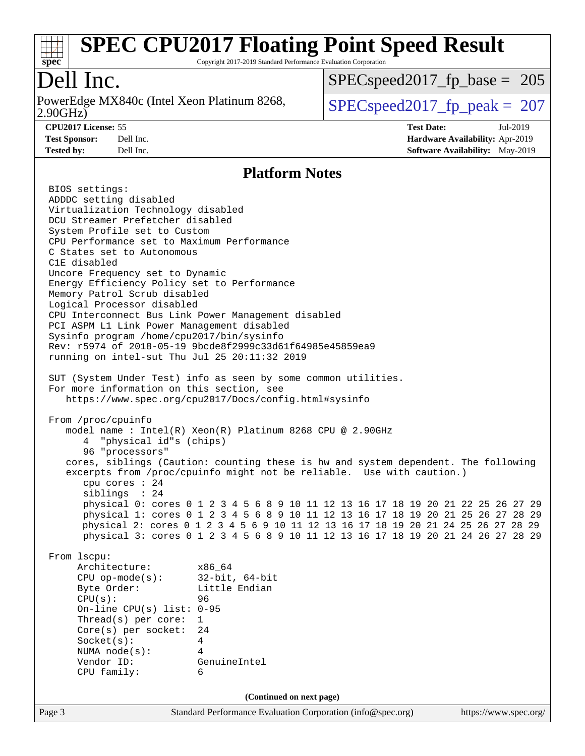

Copyright 2017-2019 Standard Performance Evaluation Corporation

# Dell Inc.

2.90GHz) PowerEdge MX840c (Intel Xeon Platinum 8268,  $\sqrt{\text{SPEC speed2017\_fp\_peak}} = 207$ 

[SPECspeed2017\\_fp\\_base =](http://www.spec.org/auto/cpu2017/Docs/result-fields.html#SPECspeed2017fpbase) 205

**[CPU2017 License:](http://www.spec.org/auto/cpu2017/Docs/result-fields.html#CPU2017License)** 55 **[Test Date:](http://www.spec.org/auto/cpu2017/Docs/result-fields.html#TestDate)** Jul-2019

**[Test Sponsor:](http://www.spec.org/auto/cpu2017/Docs/result-fields.html#TestSponsor)** Dell Inc. **[Hardware Availability:](http://www.spec.org/auto/cpu2017/Docs/result-fields.html#HardwareAvailability)** Apr-2019 **[Tested by:](http://www.spec.org/auto/cpu2017/Docs/result-fields.html#Testedby)** Dell Inc. Dell Inc. **[Software Availability:](http://www.spec.org/auto/cpu2017/Docs/result-fields.html#SoftwareAvailability)** May-2019

### **[Platform Notes](http://www.spec.org/auto/cpu2017/Docs/result-fields.html#PlatformNotes)**

| BIOS settings:<br>ADDDC setting disabled                                                               |                                                                                                                                                                                                                                                                                                                                                                                                                                                                                                                                                                               |                       |
|--------------------------------------------------------------------------------------------------------|-------------------------------------------------------------------------------------------------------------------------------------------------------------------------------------------------------------------------------------------------------------------------------------------------------------------------------------------------------------------------------------------------------------------------------------------------------------------------------------------------------------------------------------------------------------------------------|-----------------------|
| Virtualization Technology disabled                                                                     |                                                                                                                                                                                                                                                                                                                                                                                                                                                                                                                                                                               |                       |
| DCU Streamer Prefetcher disabled                                                                       |                                                                                                                                                                                                                                                                                                                                                                                                                                                                                                                                                                               |                       |
| System Profile set to Custom                                                                           |                                                                                                                                                                                                                                                                                                                                                                                                                                                                                                                                                                               |                       |
| CPU Performance set to Maximum Performance                                                             |                                                                                                                                                                                                                                                                                                                                                                                                                                                                                                                                                                               |                       |
| C States set to Autonomous<br>C1E disabled                                                             |                                                                                                                                                                                                                                                                                                                                                                                                                                                                                                                                                                               |                       |
| Uncore Frequency set to Dynamic                                                                        |                                                                                                                                                                                                                                                                                                                                                                                                                                                                                                                                                                               |                       |
| Energy Efficiency Policy set to Performance                                                            |                                                                                                                                                                                                                                                                                                                                                                                                                                                                                                                                                                               |                       |
| Memory Patrol Scrub disabled                                                                           |                                                                                                                                                                                                                                                                                                                                                                                                                                                                                                                                                                               |                       |
| Logical Processor disabled                                                                             |                                                                                                                                                                                                                                                                                                                                                                                                                                                                                                                                                                               |                       |
|                                                                                                        | CPU Interconnect Bus Link Power Management disabled                                                                                                                                                                                                                                                                                                                                                                                                                                                                                                                           |                       |
| PCI ASPM L1 Link Power Management disabled<br>Sysinfo program /home/cpu2017/bin/sysinfo                |                                                                                                                                                                                                                                                                                                                                                                                                                                                                                                                                                                               |                       |
|                                                                                                        | Rev: r5974 of 2018-05-19 9bcde8f2999c33d61f64985e45859ea9                                                                                                                                                                                                                                                                                                                                                                                                                                                                                                                     |                       |
| running on intel-sut Thu Jul 25 20:11:32 2019                                                          |                                                                                                                                                                                                                                                                                                                                                                                                                                                                                                                                                                               |                       |
|                                                                                                        |                                                                                                                                                                                                                                                                                                                                                                                                                                                                                                                                                                               |                       |
| For more information on this section, see                                                              | SUT (System Under Test) info as seen by some common utilities.                                                                                                                                                                                                                                                                                                                                                                                                                                                                                                                |                       |
|                                                                                                        | https://www.spec.org/cpu2017/Docs/config.html#sysinfo                                                                                                                                                                                                                                                                                                                                                                                                                                                                                                                         |                       |
| From /proc/cpuinfo<br>4 "physical id"s (chips)<br>96 "processors"<br>cpu cores $: 24$<br>siblings : 24 | model name: $Intel(R)$ Xeon $(R)$ Platinum 8268 CPU @ 2.90GHz<br>cores, siblings (Caution: counting these is hw and system dependent. The following<br>excerpts from /proc/cpuinfo might not be reliable. Use with caution.)<br>physical 0: cores 0 1 2 3 4 5 6 8 9 10 11 12 13 16 17 18 19 20 21 22 25 26 27 29<br>physical 1: cores 0 1 2 3 4 5 6 8 9 10 11 12 13 16 17 18 19 20 21 25 26 27 28 29<br>physical 2: cores 0 1 2 3 4 5 6 9 10 11 12 13 16 17 18 19 20 21 24 25 26 27 28 29<br>physical 3: cores 0 1 2 3 4 5 6 8 9 10 11 12 13 16 17 18 19 20 21 24 26 27 28 29 |                       |
| From 1scpu:                                                                                            |                                                                                                                                                                                                                                                                                                                                                                                                                                                                                                                                                                               |                       |
| Architecture: x86_64                                                                                   |                                                                                                                                                                                                                                                                                                                                                                                                                                                                                                                                                                               |                       |
| CPU $op-mode(s):$ 32-bit, 64-bit                                                                       |                                                                                                                                                                                                                                                                                                                                                                                                                                                                                                                                                                               |                       |
| Byte Order: Little Endian                                                                              |                                                                                                                                                                                                                                                                                                                                                                                                                                                                                                                                                                               |                       |
| CPU(s):<br>On-line CPU(s) list: $0-95$                                                                 | 96                                                                                                                                                                                                                                                                                                                                                                                                                                                                                                                                                                            |                       |
| Thread(s) per core:                                                                                    | 1                                                                                                                                                                                                                                                                                                                                                                                                                                                                                                                                                                             |                       |
| Core(s) per socket:                                                                                    | 24                                                                                                                                                                                                                                                                                                                                                                                                                                                                                                                                                                            |                       |
| Socket(s):                                                                                             | 4                                                                                                                                                                                                                                                                                                                                                                                                                                                                                                                                                                             |                       |
| NUMA node(s):                                                                                          | 4                                                                                                                                                                                                                                                                                                                                                                                                                                                                                                                                                                             |                       |
| Vendor ID:<br>CPU family:                                                                              | GenuineIntel<br>6                                                                                                                                                                                                                                                                                                                                                                                                                                                                                                                                                             |                       |
|                                                                                                        |                                                                                                                                                                                                                                                                                                                                                                                                                                                                                                                                                                               |                       |
|                                                                                                        | (Continued on next page)                                                                                                                                                                                                                                                                                                                                                                                                                                                                                                                                                      |                       |
| Page 3                                                                                                 | Standard Performance Evaluation Corporation (info@spec.org)                                                                                                                                                                                                                                                                                                                                                                                                                                                                                                                   | https://www.spec.org/ |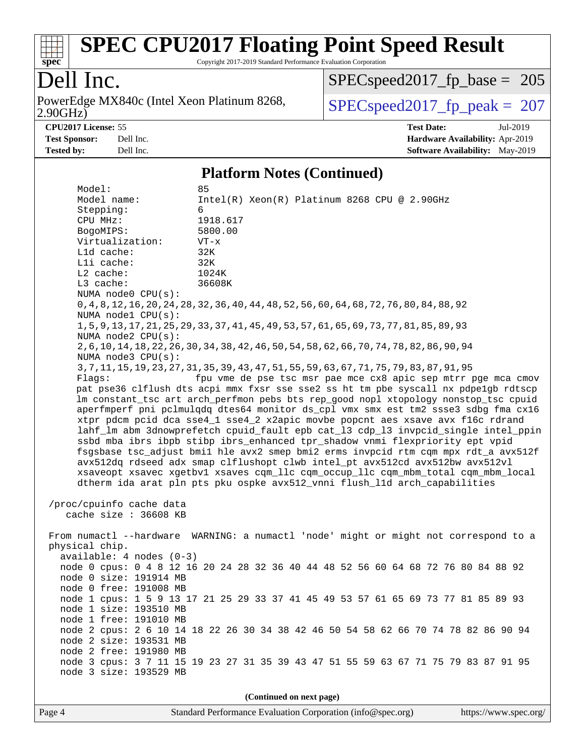

Copyright 2017-2019 Standard Performance Evaluation Corporation

# Dell Inc.

2.90GHz) PowerEdge MX840c (Intel Xeon Platinum 8268,  $\boxed{\text{SPEC speed2017\_fp\_peak = 207}}$ 

[SPECspeed2017\\_fp\\_base =](http://www.spec.org/auto/cpu2017/Docs/result-fields.html#SPECspeed2017fpbase) 205

**[CPU2017 License:](http://www.spec.org/auto/cpu2017/Docs/result-fields.html#CPU2017License)** 55 **[Test Date:](http://www.spec.org/auto/cpu2017/Docs/result-fields.html#TestDate)** Jul-2019 **[Test Sponsor:](http://www.spec.org/auto/cpu2017/Docs/result-fields.html#TestSponsor)** Dell Inc. **[Hardware Availability:](http://www.spec.org/auto/cpu2017/Docs/result-fields.html#HardwareAvailability)** Apr-2019 **[Tested by:](http://www.spec.org/auto/cpu2017/Docs/result-fields.html#Testedby)** Dell Inc. Dell Inc. **[Software Availability:](http://www.spec.org/auto/cpu2017/Docs/result-fields.html#SoftwareAvailability)** May-2019

#### **[Platform Notes \(Continued\)](http://www.spec.org/auto/cpu2017/Docs/result-fields.html#PlatformNotes)**

| Model:                                                                            | 85                                                                                           |  |  |  |  |
|-----------------------------------------------------------------------------------|----------------------------------------------------------------------------------------------|--|--|--|--|
| Model name:                                                                       | $Intel(R) Xeon(R) Platinum 8268 CPU @ 2.90GHz$                                               |  |  |  |  |
| Stepping:                                                                         | 6                                                                                            |  |  |  |  |
| CPU MHz:                                                                          | 1918.617                                                                                     |  |  |  |  |
| BogoMIPS:                                                                         | 5800.00                                                                                      |  |  |  |  |
| Virtualization:                                                                   | $VT - x$                                                                                     |  |  |  |  |
| L1d cache:                                                                        | 32K                                                                                          |  |  |  |  |
| Lli cache:                                                                        | 32K                                                                                          |  |  |  |  |
| L2 cache:                                                                         | 1024K                                                                                        |  |  |  |  |
| L3 cache:                                                                         | 36608K                                                                                       |  |  |  |  |
| NUMA node0 CPU(s):                                                                |                                                                                              |  |  |  |  |
|                                                                                   | 0, 4, 8, 12, 16, 20, 24, 28, 32, 36, 40, 44, 48, 52, 56, 60, 64, 68, 72, 76, 80, 84, 88, 92  |  |  |  |  |
| NUMA nodel CPU(s):                                                                |                                                                                              |  |  |  |  |
|                                                                                   | 1, 5, 9, 13, 17, 21, 25, 29, 33, 37, 41, 45, 49, 53, 57, 61, 65, 69, 73, 77, 81, 85, 89, 93  |  |  |  |  |
| NUMA $node2$ $CPU(s)$ :                                                           |                                                                                              |  |  |  |  |
|                                                                                   | 2, 6, 10, 14, 18, 22, 26, 30, 34, 38, 42, 46, 50, 54, 58, 62, 66, 70, 74, 78, 82, 86, 90, 94 |  |  |  |  |
| NUMA $node3$ $CPU(s):$                                                            |                                                                                              |  |  |  |  |
|                                                                                   | 3, 7, 11, 15, 19, 23, 27, 31, 35, 39, 43, 47, 51, 55, 59, 63, 67, 71, 75, 79, 83, 87, 91, 95 |  |  |  |  |
| Flags:                                                                            | fpu vme de pse tsc msr pae mce cx8 apic sep mtrr pge mca cmov                                |  |  |  |  |
|                                                                                   | pat pse36 clflush dts acpi mmx fxsr sse sse2 ss ht tm pbe syscall nx pdpelgb rdtscp          |  |  |  |  |
|                                                                                   | lm constant_tsc art arch_perfmon pebs bts rep_good nopl xtopology nonstop_tsc cpuid          |  |  |  |  |
|                                                                                   | aperfmperf pni pclmulqdq dtes64 monitor ds_cpl vmx smx est tm2 ssse3 sdbg fma cx16           |  |  |  |  |
|                                                                                   | xtpr pdcm pcid dca sse4_1 sse4_2 x2apic movbe popcnt aes xsave avx f16c rdrand               |  |  |  |  |
|                                                                                   |                                                                                              |  |  |  |  |
| lahf_lm abm 3dnowprefetch cpuid_fault epb cat_13 cdp_13 invpcid_single intel_ppin |                                                                                              |  |  |  |  |
|                                                                                   | ssbd mba ibrs ibpb stibp ibrs_enhanced tpr_shadow vnmi flexpriority ept vpid                 |  |  |  |  |
|                                                                                   | fsgsbase tsc_adjust bmil hle avx2 smep bmi2 erms invpcid rtm cqm mpx rdt_a avx512f           |  |  |  |  |
|                                                                                   | avx512dq rdseed adx smap clflushopt clwb intel_pt avx512cd avx512bw avx512vl                 |  |  |  |  |
|                                                                                   | xsaveopt xsavec xgetbvl xsaves cqm_llc cqm_occup_llc cqm_mbm_total cqm_mbm_local             |  |  |  |  |
|                                                                                   | dtherm ida arat pln pts pku ospke avx512_vnni flush_lld arch_capabilities                    |  |  |  |  |
|                                                                                   |                                                                                              |  |  |  |  |
| /proc/cpuinfo cache data                                                          |                                                                                              |  |  |  |  |
| cache size : 36608 KB                                                             |                                                                                              |  |  |  |  |
|                                                                                   |                                                                                              |  |  |  |  |
|                                                                                   | From numactl --hardware WARNING: a numactl 'node' might or might not correspond to a         |  |  |  |  |
| physical chip.                                                                    |                                                                                              |  |  |  |  |
| $available: 4 nodes (0-3)$                                                        |                                                                                              |  |  |  |  |
|                                                                                   | node 0 cpus: 0 4 8 12 16 20 24 28 32 36 40 44 48 52 56 60 64 68 72 76 80 84 88 92            |  |  |  |  |
| node 0 size: 191914 MB                                                            |                                                                                              |  |  |  |  |
| node 0 free: 191008 MB                                                            |                                                                                              |  |  |  |  |
|                                                                                   | node 1 cpus: 1 5 9 13 17 21 25 29 33 37 41 45 49 53 57 61 65 69 73 77 81 85 89 93            |  |  |  |  |
| node 1 size: 193510 MB                                                            |                                                                                              |  |  |  |  |
| node 1 free: 191010 MB                                                            |                                                                                              |  |  |  |  |
|                                                                                   | node 2 cpus: 2 6 10 14 18 22 26 30 34 38 42 46 50 54 58 62 66 70 74 78 82 86 90 94           |  |  |  |  |
| node 2 size: 193531 MB                                                            |                                                                                              |  |  |  |  |
| node 2 free: 191980 MB                                                            |                                                                                              |  |  |  |  |
|                                                                                   | node 3 cpus: 3 7 11 15 19 23 27 31 35 39 43 47 51 55 59 63 67 71 75 79 83 87 91 95           |  |  |  |  |
| node 3 size: 193529 MB                                                            |                                                                                              |  |  |  |  |
|                                                                                   |                                                                                              |  |  |  |  |
|                                                                                   | $(\Gamma_{\alpha\alpha}$ tinuad an nort naga)                                                |  |  |  |  |

**(Continued on next page)**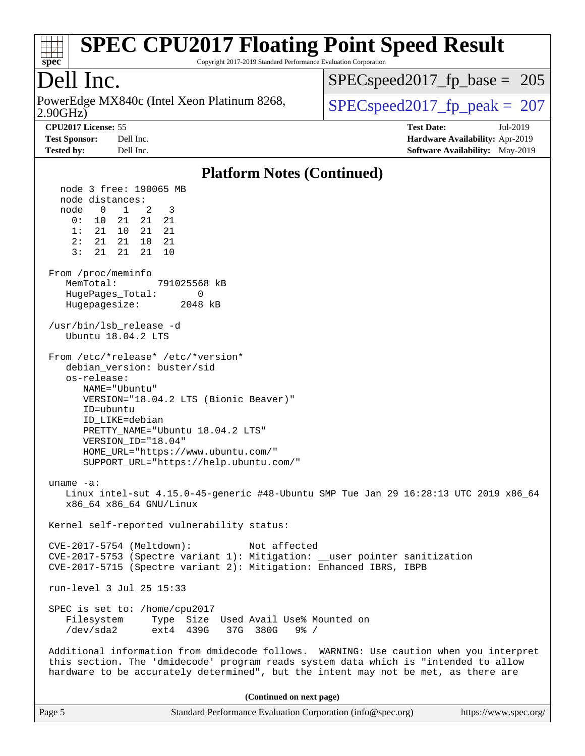# **[spec](http://www.spec.org/)**

# **[SPEC CPU2017 Floating Point Speed Result](http://www.spec.org/auto/cpu2017/Docs/result-fields.html#SPECCPU2017FloatingPointSpeedResult)**

Copyright 2017-2019 Standard Performance Evaluation Corporation

# Dell Inc.

2.90GHz) PowerEdge MX840c (Intel Xeon Platinum 8268,  $\sqrt{\text{SPEC speed2017\_fp\_peak}} = 207$ 

[SPECspeed2017\\_fp\\_base =](http://www.spec.org/auto/cpu2017/Docs/result-fields.html#SPECspeed2017fpbase) 205

**[CPU2017 License:](http://www.spec.org/auto/cpu2017/Docs/result-fields.html#CPU2017License)** 55 **[Test Date:](http://www.spec.org/auto/cpu2017/Docs/result-fields.html#TestDate)** Jul-2019 **[Test Sponsor:](http://www.spec.org/auto/cpu2017/Docs/result-fields.html#TestSponsor)** Dell Inc. **[Hardware Availability:](http://www.spec.org/auto/cpu2017/Docs/result-fields.html#HardwareAvailability)** Apr-2019 **[Tested by:](http://www.spec.org/auto/cpu2017/Docs/result-fields.html#Testedby)** Dell Inc. **[Software Availability:](http://www.spec.org/auto/cpu2017/Docs/result-fields.html#SoftwareAvailability)** May-2019

#### **[Platform Notes \(Continued\)](http://www.spec.org/auto/cpu2017/Docs/result-fields.html#PlatformNotes)**

| Page 5                                                                                            | Standard Performance Evaluation Corporation (info@spec.org)                                                                                                                                                                                                         | https://www.spec.org/ |
|---------------------------------------------------------------------------------------------------|---------------------------------------------------------------------------------------------------------------------------------------------------------------------------------------------------------------------------------------------------------------------|-----------------------|
|                                                                                                   | (Continued on next page)                                                                                                                                                                                                                                            |                       |
|                                                                                                   | Additional information from dmidecode follows. WARNING: Use caution when you interpret<br>this section. The 'dmidecode' program reads system data which is "intended to allow<br>hardware to be accurately determined", but the intent may not be met, as there are |                       |
| SPEC is set to: /home/cpu2017<br>Filesystem<br>/dev/sda2                                          | Type<br>Size<br>Used Avail Use% Mounted on<br>ext4<br>439G<br>37G 380G<br>$9\frac{6}{6}$ /                                                                                                                                                                          |                       |
| run-level 3 Jul 25 15:33                                                                          |                                                                                                                                                                                                                                                                     |                       |
|                                                                                                   | CVE-2017-5753 (Spectre variant 1): Mitigation: __user pointer sanitization<br>CVE-2017-5715 (Spectre variant 2): Mitigation: Enhanced IBRS, IBPB                                                                                                                    |                       |
| CVE-2017-5754 (Meltdown):                                                                         | Not affected                                                                                                                                                                                                                                                        |                       |
|                                                                                                   | Kernel self-reported vulnerability status:                                                                                                                                                                                                                          |                       |
| uname $-a$ :<br>x86_64 x86_64 GNU/Linux                                                           | Linux intel-sut 4.15.0-45-generic #48-Ubuntu SMP Tue Jan 29 16:28:13 UTC 2019 x86_64                                                                                                                                                                                |                       |
| ID=ubuntu<br>ID_LIKE=debian<br>VERSION_ID="18.04"                                                 | PRETTY_NAME="Ubuntu 18.04.2 LTS"<br>HOME_URL="https://www.ubuntu.com/"<br>SUPPORT_URL="https://help.ubuntu.com/"                                                                                                                                                    |                       |
| debian version: buster/sid<br>os-release:<br>NAME="Ubuntu"                                        | VERSION="18.04.2 LTS (Bionic Beaver)"                                                                                                                                                                                                                               |                       |
|                                                                                                   | From /etc/*release* /etc/*version*                                                                                                                                                                                                                                  |                       |
| /usr/bin/lsb_release -d<br>Ubuntu 18.04.2 LTS                                                     |                                                                                                                                                                                                                                                                     |                       |
| From /proc/meminfo<br>MemTotal:<br>HugePages_Total:<br>Hugepagesize: 2048 kB                      | 791025568 kB<br>0                                                                                                                                                                                                                                                   |                       |
| node distances:<br>node 0 1 2 3<br>0: 10 21 21 21<br>1: 21 10 21<br>2: 21 21 10<br>3: 21 21 21 10 | -21<br>21                                                                                                                                                                                                                                                           |                       |
| node 3 free: 190065 MB                                                                            |                                                                                                                                                                                                                                                                     |                       |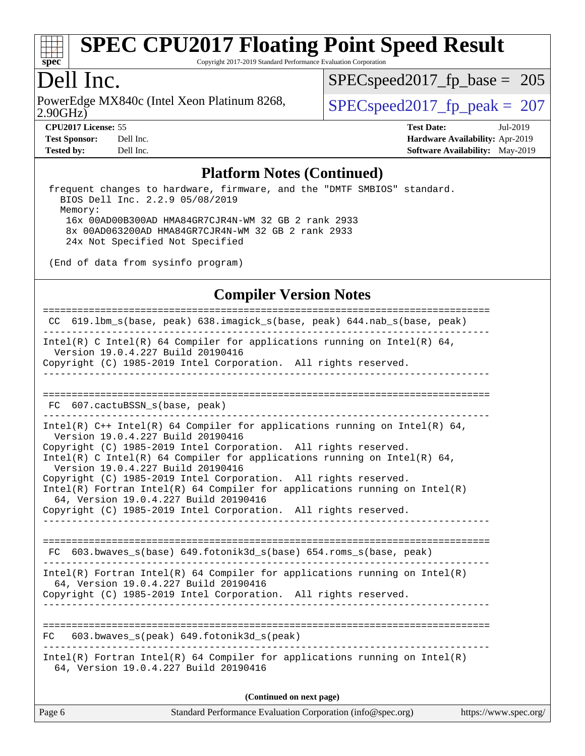

Copyright 2017-2019 Standard Performance Evaluation Corporation

### Dell Inc.

2.90GHz) PowerEdge MX840c (Intel Xeon Platinum 8268,  $\vert$  SPECspeed2017 fp\_peak = 207

SPECspeed2017 fp base =  $205$ 

**[CPU2017 License:](http://www.spec.org/auto/cpu2017/Docs/result-fields.html#CPU2017License)** 55 **[Test Date:](http://www.spec.org/auto/cpu2017/Docs/result-fields.html#TestDate)** Jul-2019 **[Test Sponsor:](http://www.spec.org/auto/cpu2017/Docs/result-fields.html#TestSponsor)** Dell Inc. **[Hardware Availability:](http://www.spec.org/auto/cpu2017/Docs/result-fields.html#HardwareAvailability)** Apr-2019 **[Tested by:](http://www.spec.org/auto/cpu2017/Docs/result-fields.html#Testedby)** Dell Inc. **[Software Availability:](http://www.spec.org/auto/cpu2017/Docs/result-fields.html#SoftwareAvailability)** May-2019

#### **[Platform Notes \(Continued\)](http://www.spec.org/auto/cpu2017/Docs/result-fields.html#PlatformNotes)**

 frequent changes to hardware, firmware, and the "DMTF SMBIOS" standard. BIOS Dell Inc. 2.2.9 05/08/2019 Memory: 16x 00AD00B300AD HMA84GR7CJR4N-WM 32 GB 2 rank 2933 8x 00AD063200AD HMA84GR7CJR4N-WM 32 GB 2 rank 2933 24x Not Specified Not Specified

(End of data from sysinfo program)

#### **[Compiler Version Notes](http://www.spec.org/auto/cpu2017/Docs/result-fields.html#CompilerVersionNotes)**

============================================================================== CC 619.lbm\_s(base, peak) 638.imagick\_s(base, peak) 644.nab\_s(base, peak) ------------------------------------------------------------------------------ Intel(R) C Intel(R) 64 Compiler for applications running on Intel(R)  $64$ , Version 19.0.4.227 Build 20190416 Copyright (C) 1985-2019 Intel Corporation. All rights reserved. ------------------------------------------------------------------------------ ============================================================================== FC 607.cactuBSSN\_s(base, peak) ------------------------------------------------------------------------------ Intel(R) C++ Intel(R) 64 Compiler for applications running on Intel(R) 64, Version 19.0.4.227 Build 20190416 Copyright (C) 1985-2019 Intel Corporation. All rights reserved. Intel(R) C Intel(R) 64 Compiler for applications running on Intel(R)  $64$ , Version 19.0.4.227 Build 20190416 Copyright (C) 1985-2019 Intel Corporation. All rights reserved. Intel(R) Fortran Intel(R) 64 Compiler for applications running on Intel(R) 64, Version 19.0.4.227 Build 20190416 Copyright (C) 1985-2019 Intel Corporation. All rights reserved. ------------------------------------------------------------------------------ ============================================================================== FC 603.bwaves\_s(base) 649.fotonik3d\_s(base) 654.roms\_s(base, peak) ------------------------------------------------------------------------------ Intel(R) Fortran Intel(R) 64 Compiler for applications running on Intel(R) 64, Version 19.0.4.227 Build 20190416 Copyright (C) 1985-2019 Intel Corporation. All rights reserved. ------------------------------------------------------------------------------ ============================================================================== FC 603.bwaves  $s(peak)$  649.fotonik3d  $s(peak)$ ------------------------------------------------------------------------------ Intel(R) Fortran Intel(R) 64 Compiler for applications running on Intel(R) 64, Version 19.0.4.227 Build 20190416 **(Continued on next page)**

| Page 6 | Standard Performance Evaluation Corporation (info@spec.org) | https://www.spec.org/ |
|--------|-------------------------------------------------------------|-----------------------|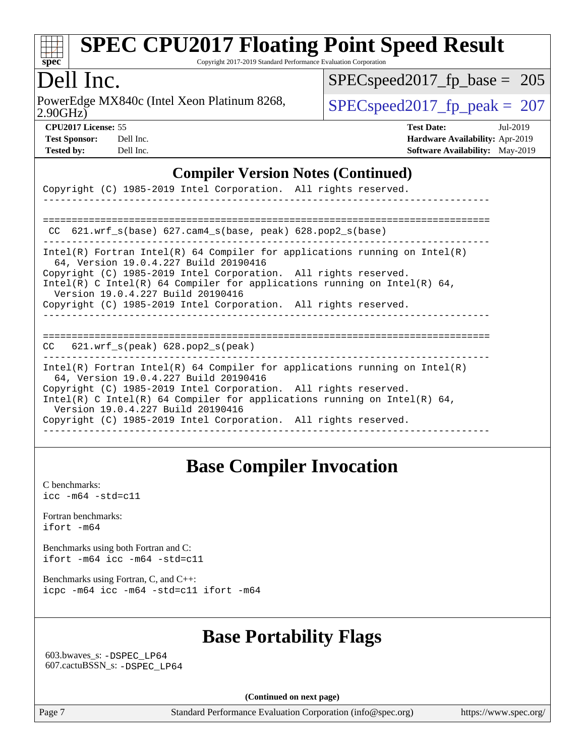

Copyright 2017-2019 Standard Performance Evaluation Corporation

# Dell Inc.

2.90GHz) PowerEdge MX840c (Intel Xeon Platinum 8268,  $\vert$  [SPECspeed2017\\_fp\\_peak =](http://www.spec.org/auto/cpu2017/Docs/result-fields.html#SPECspeed2017fppeak) 207

[SPECspeed2017\\_fp\\_base =](http://www.spec.org/auto/cpu2017/Docs/result-fields.html#SPECspeed2017fpbase) 205

**[CPU2017 License:](http://www.spec.org/auto/cpu2017/Docs/result-fields.html#CPU2017License)** 55 **[Test Date:](http://www.spec.org/auto/cpu2017/Docs/result-fields.html#TestDate)** Jul-2019

**[Test Sponsor:](http://www.spec.org/auto/cpu2017/Docs/result-fields.html#TestSponsor)** Dell Inc. **[Hardware Availability:](http://www.spec.org/auto/cpu2017/Docs/result-fields.html#HardwareAvailability)** Apr-2019 **[Tested by:](http://www.spec.org/auto/cpu2017/Docs/result-fields.html#Testedby)** Dell Inc. **[Software Availability:](http://www.spec.org/auto/cpu2017/Docs/result-fields.html#SoftwareAvailability)** May-2019

#### **[Compiler Version Notes \(Continued\)](http://www.spec.org/auto/cpu2017/Docs/result-fields.html#CompilerVersionNotes)**

| Copyright (C) 1985-2019 Intel Corporation. All rights reserved.                                                                                                                                                                                                                                                                                                            |
|----------------------------------------------------------------------------------------------------------------------------------------------------------------------------------------------------------------------------------------------------------------------------------------------------------------------------------------------------------------------------|
|                                                                                                                                                                                                                                                                                                                                                                            |
| 621.wrf $s(base)$ 627.cam4 $s(base, peak)$ 628.pop2 $s(base)$<br>CC.                                                                                                                                                                                                                                                                                                       |
| Intel(R) Fortran Intel(R) 64 Compiler for applications running on Intel(R)<br>64, Version 19.0.4.227 Build 20190416<br>Copyright (C) 1985-2019 Intel Corporation. All rights reserved.<br>Intel(R) C Intel(R) 64 Compiler for applications running on Intel(R) 64,<br>Version 19.0.4.227 Build 20190416<br>Copyright (C) 1985-2019 Intel Corporation. All rights reserved. |
| $621.wrf$ s(peak) $628.pop2$ s(peak)<br>CC.                                                                                                                                                                                                                                                                                                                                |
| Intel(R) Fortran Intel(R) 64 Compiler for applications running on Intel(R)<br>64, Version 19.0.4.227 Build 20190416<br>Copyright (C) 1985-2019 Intel Corporation. All rights reserved.<br>Intel(R) C Intel(R) 64 Compiler for applications running on Intel(R) 64,<br>Version 19.0.4.227 Build 20190416<br>Copyright (C) 1985-2019 Intel Corporation. All rights reserved. |

### **[Base Compiler Invocation](http://www.spec.org/auto/cpu2017/Docs/result-fields.html#BaseCompilerInvocation)**

[C benchmarks](http://www.spec.org/auto/cpu2017/Docs/result-fields.html#Cbenchmarks): [icc -m64 -std=c11](http://www.spec.org/cpu2017/results/res2019q3/cpu2017-20190805-16503.flags.html#user_CCbase_intel_icc_64bit_c11_33ee0cdaae7deeeab2a9725423ba97205ce30f63b9926c2519791662299b76a0318f32ddfffdc46587804de3178b4f9328c46fa7c2b0cd779d7a61945c91cd35)

[Fortran benchmarks](http://www.spec.org/auto/cpu2017/Docs/result-fields.html#Fortranbenchmarks): [ifort -m64](http://www.spec.org/cpu2017/results/res2019q3/cpu2017-20190805-16503.flags.html#user_FCbase_intel_ifort_64bit_24f2bb282fbaeffd6157abe4f878425411749daecae9a33200eee2bee2fe76f3b89351d69a8130dd5949958ce389cf37ff59a95e7a40d588e8d3a57e0c3fd751)

[Benchmarks using both Fortran and C](http://www.spec.org/auto/cpu2017/Docs/result-fields.html#BenchmarksusingbothFortranandC): [ifort -m64](http://www.spec.org/cpu2017/results/res2019q3/cpu2017-20190805-16503.flags.html#user_CC_FCbase_intel_ifort_64bit_24f2bb282fbaeffd6157abe4f878425411749daecae9a33200eee2bee2fe76f3b89351d69a8130dd5949958ce389cf37ff59a95e7a40d588e8d3a57e0c3fd751) [icc -m64 -std=c11](http://www.spec.org/cpu2017/results/res2019q3/cpu2017-20190805-16503.flags.html#user_CC_FCbase_intel_icc_64bit_c11_33ee0cdaae7deeeab2a9725423ba97205ce30f63b9926c2519791662299b76a0318f32ddfffdc46587804de3178b4f9328c46fa7c2b0cd779d7a61945c91cd35)

[Benchmarks using Fortran, C, and C++:](http://www.spec.org/auto/cpu2017/Docs/result-fields.html#BenchmarksusingFortranCandCXX) [icpc -m64](http://www.spec.org/cpu2017/results/res2019q3/cpu2017-20190805-16503.flags.html#user_CC_CXX_FCbase_intel_icpc_64bit_4ecb2543ae3f1412ef961e0650ca070fec7b7afdcd6ed48761b84423119d1bf6bdf5cad15b44d48e7256388bc77273b966e5eb805aefd121eb22e9299b2ec9d9) [icc -m64 -std=c11](http://www.spec.org/cpu2017/results/res2019q3/cpu2017-20190805-16503.flags.html#user_CC_CXX_FCbase_intel_icc_64bit_c11_33ee0cdaae7deeeab2a9725423ba97205ce30f63b9926c2519791662299b76a0318f32ddfffdc46587804de3178b4f9328c46fa7c2b0cd779d7a61945c91cd35) [ifort -m64](http://www.spec.org/cpu2017/results/res2019q3/cpu2017-20190805-16503.flags.html#user_CC_CXX_FCbase_intel_ifort_64bit_24f2bb282fbaeffd6157abe4f878425411749daecae9a33200eee2bee2fe76f3b89351d69a8130dd5949958ce389cf37ff59a95e7a40d588e8d3a57e0c3fd751)

### **[Base Portability Flags](http://www.spec.org/auto/cpu2017/Docs/result-fields.html#BasePortabilityFlags)**

 603.bwaves\_s: [-DSPEC\\_LP64](http://www.spec.org/cpu2017/results/res2019q3/cpu2017-20190805-16503.flags.html#suite_basePORTABILITY603_bwaves_s_DSPEC_LP64) 607.cactuBSSN\_s: [-DSPEC\\_LP64](http://www.spec.org/cpu2017/results/res2019q3/cpu2017-20190805-16503.flags.html#suite_basePORTABILITY607_cactuBSSN_s_DSPEC_LP64)

**(Continued on next page)**

Page 7 Standard Performance Evaluation Corporation [\(info@spec.org\)](mailto:info@spec.org) <https://www.spec.org/>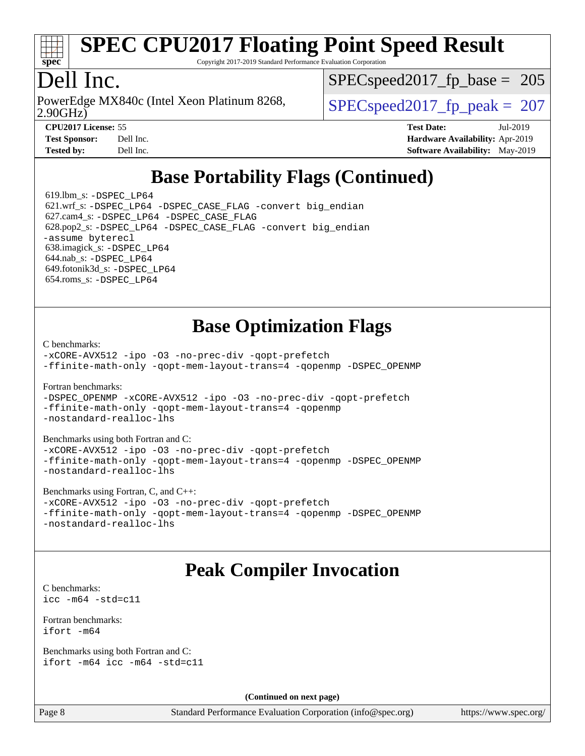

Copyright 2017-2019 Standard Performance Evaluation Corporation

# Dell Inc.

2.90GHz) PowerEdge MX840c (Intel Xeon Platinum 8268,  $\vert$  SPECspeed2017 fp\_peak = 207

SPECspeed2017 fp base =  $205$ 

**[Test Sponsor:](http://www.spec.org/auto/cpu2017/Docs/result-fields.html#TestSponsor)** Dell Inc. **[Hardware Availability:](http://www.spec.org/auto/cpu2017/Docs/result-fields.html#HardwareAvailability)** Apr-2019 **[Tested by:](http://www.spec.org/auto/cpu2017/Docs/result-fields.html#Testedby)** Dell Inc. **[Software Availability:](http://www.spec.org/auto/cpu2017/Docs/result-fields.html#SoftwareAvailability)** May-2019

**[CPU2017 License:](http://www.spec.org/auto/cpu2017/Docs/result-fields.html#CPU2017License)** 55 **[Test Date:](http://www.spec.org/auto/cpu2017/Docs/result-fields.html#TestDate)** Jul-2019

# **[Base Portability Flags \(Continued\)](http://www.spec.org/auto/cpu2017/Docs/result-fields.html#BasePortabilityFlags)**

619.1bm  $s: -DSPEC$  LP64 621.wrf\_s: [-DSPEC\\_LP64](http://www.spec.org/cpu2017/results/res2019q3/cpu2017-20190805-16503.flags.html#suite_basePORTABILITY621_wrf_s_DSPEC_LP64) [-DSPEC\\_CASE\\_FLAG](http://www.spec.org/cpu2017/results/res2019q3/cpu2017-20190805-16503.flags.html#b621.wrf_s_baseCPORTABILITY_DSPEC_CASE_FLAG) [-convert big\\_endian](http://www.spec.org/cpu2017/results/res2019q3/cpu2017-20190805-16503.flags.html#user_baseFPORTABILITY621_wrf_s_convert_big_endian_c3194028bc08c63ac5d04de18c48ce6d347e4e562e8892b8bdbdc0214820426deb8554edfa529a3fb25a586e65a3d812c835984020483e7e73212c4d31a38223) 627.cam4\_s: [-DSPEC\\_LP64](http://www.spec.org/cpu2017/results/res2019q3/cpu2017-20190805-16503.flags.html#suite_basePORTABILITY627_cam4_s_DSPEC_LP64) [-DSPEC\\_CASE\\_FLAG](http://www.spec.org/cpu2017/results/res2019q3/cpu2017-20190805-16503.flags.html#b627.cam4_s_baseCPORTABILITY_DSPEC_CASE_FLAG) 628.pop2\_s: [-DSPEC\\_LP64](http://www.spec.org/cpu2017/results/res2019q3/cpu2017-20190805-16503.flags.html#suite_basePORTABILITY628_pop2_s_DSPEC_LP64) [-DSPEC\\_CASE\\_FLAG](http://www.spec.org/cpu2017/results/res2019q3/cpu2017-20190805-16503.flags.html#b628.pop2_s_baseCPORTABILITY_DSPEC_CASE_FLAG) [-convert big\\_endian](http://www.spec.org/cpu2017/results/res2019q3/cpu2017-20190805-16503.flags.html#user_baseFPORTABILITY628_pop2_s_convert_big_endian_c3194028bc08c63ac5d04de18c48ce6d347e4e562e8892b8bdbdc0214820426deb8554edfa529a3fb25a586e65a3d812c835984020483e7e73212c4d31a38223) [-assume byterecl](http://www.spec.org/cpu2017/results/res2019q3/cpu2017-20190805-16503.flags.html#user_baseFPORTABILITY628_pop2_s_assume_byterecl_7e47d18b9513cf18525430bbf0f2177aa9bf368bc7a059c09b2c06a34b53bd3447c950d3f8d6c70e3faf3a05c8557d66a5798b567902e8849adc142926523472) 638.imagick\_s: [-DSPEC\\_LP64](http://www.spec.org/cpu2017/results/res2019q3/cpu2017-20190805-16503.flags.html#suite_basePORTABILITY638_imagick_s_DSPEC_LP64) 644.nab\_s: [-DSPEC\\_LP64](http://www.spec.org/cpu2017/results/res2019q3/cpu2017-20190805-16503.flags.html#suite_basePORTABILITY644_nab_s_DSPEC_LP64) 649.fotonik3d\_s: [-DSPEC\\_LP64](http://www.spec.org/cpu2017/results/res2019q3/cpu2017-20190805-16503.flags.html#suite_basePORTABILITY649_fotonik3d_s_DSPEC_LP64) 654.roms\_s: [-DSPEC\\_LP64](http://www.spec.org/cpu2017/results/res2019q3/cpu2017-20190805-16503.flags.html#suite_basePORTABILITY654_roms_s_DSPEC_LP64)

## **[Base Optimization Flags](http://www.spec.org/auto/cpu2017/Docs/result-fields.html#BaseOptimizationFlags)**

[C benchmarks](http://www.spec.org/auto/cpu2017/Docs/result-fields.html#Cbenchmarks):

[-xCORE-AVX512](http://www.spec.org/cpu2017/results/res2019q3/cpu2017-20190805-16503.flags.html#user_CCbase_f-xCORE-AVX512) [-ipo](http://www.spec.org/cpu2017/results/res2019q3/cpu2017-20190805-16503.flags.html#user_CCbase_f-ipo) [-O3](http://www.spec.org/cpu2017/results/res2019q3/cpu2017-20190805-16503.flags.html#user_CCbase_f-O3) [-no-prec-div](http://www.spec.org/cpu2017/results/res2019q3/cpu2017-20190805-16503.flags.html#user_CCbase_f-no-prec-div) [-qopt-prefetch](http://www.spec.org/cpu2017/results/res2019q3/cpu2017-20190805-16503.flags.html#user_CCbase_f-qopt-prefetch) [-ffinite-math-only](http://www.spec.org/cpu2017/results/res2019q3/cpu2017-20190805-16503.flags.html#user_CCbase_f_finite_math_only_cb91587bd2077682c4b38af759c288ed7c732db004271a9512da14a4f8007909a5f1427ecbf1a0fb78ff2a814402c6114ac565ca162485bbcae155b5e4258871) [-qopt-mem-layout-trans=4](http://www.spec.org/cpu2017/results/res2019q3/cpu2017-20190805-16503.flags.html#user_CCbase_f-qopt-mem-layout-trans_fa39e755916c150a61361b7846f310bcdf6f04e385ef281cadf3647acec3f0ae266d1a1d22d972a7087a248fd4e6ca390a3634700869573d231a252c784941a8) [-qopenmp](http://www.spec.org/cpu2017/results/res2019q3/cpu2017-20190805-16503.flags.html#user_CCbase_qopenmp_16be0c44f24f464004c6784a7acb94aca937f053568ce72f94b139a11c7c168634a55f6653758ddd83bcf7b8463e8028bb0b48b77bcddc6b78d5d95bb1df2967) [-DSPEC\\_OPENMP](http://www.spec.org/cpu2017/results/res2019q3/cpu2017-20190805-16503.flags.html#suite_CCbase_DSPEC_OPENMP)

[Fortran benchmarks](http://www.spec.org/auto/cpu2017/Docs/result-fields.html#Fortranbenchmarks):

[-DSPEC\\_OPENMP](http://www.spec.org/cpu2017/results/res2019q3/cpu2017-20190805-16503.flags.html#suite_FCbase_DSPEC_OPENMP) [-xCORE-AVX512](http://www.spec.org/cpu2017/results/res2019q3/cpu2017-20190805-16503.flags.html#user_FCbase_f-xCORE-AVX512) [-ipo](http://www.spec.org/cpu2017/results/res2019q3/cpu2017-20190805-16503.flags.html#user_FCbase_f-ipo) [-O3](http://www.spec.org/cpu2017/results/res2019q3/cpu2017-20190805-16503.flags.html#user_FCbase_f-O3) [-no-prec-div](http://www.spec.org/cpu2017/results/res2019q3/cpu2017-20190805-16503.flags.html#user_FCbase_f-no-prec-div) [-qopt-prefetch](http://www.spec.org/cpu2017/results/res2019q3/cpu2017-20190805-16503.flags.html#user_FCbase_f-qopt-prefetch) [-ffinite-math-only](http://www.spec.org/cpu2017/results/res2019q3/cpu2017-20190805-16503.flags.html#user_FCbase_f_finite_math_only_cb91587bd2077682c4b38af759c288ed7c732db004271a9512da14a4f8007909a5f1427ecbf1a0fb78ff2a814402c6114ac565ca162485bbcae155b5e4258871) [-qopt-mem-layout-trans=4](http://www.spec.org/cpu2017/results/res2019q3/cpu2017-20190805-16503.flags.html#user_FCbase_f-qopt-mem-layout-trans_fa39e755916c150a61361b7846f310bcdf6f04e385ef281cadf3647acec3f0ae266d1a1d22d972a7087a248fd4e6ca390a3634700869573d231a252c784941a8) [-qopenmp](http://www.spec.org/cpu2017/results/res2019q3/cpu2017-20190805-16503.flags.html#user_FCbase_qopenmp_16be0c44f24f464004c6784a7acb94aca937f053568ce72f94b139a11c7c168634a55f6653758ddd83bcf7b8463e8028bb0b48b77bcddc6b78d5d95bb1df2967) [-nostandard-realloc-lhs](http://www.spec.org/cpu2017/results/res2019q3/cpu2017-20190805-16503.flags.html#user_FCbase_f_2003_std_realloc_82b4557e90729c0f113870c07e44d33d6f5a304b4f63d4c15d2d0f1fab99f5daaed73bdb9275d9ae411527f28b936061aa8b9c8f2d63842963b95c9dd6426b8a)

[Benchmarks using both Fortran and C](http://www.spec.org/auto/cpu2017/Docs/result-fields.html#BenchmarksusingbothFortranandC): [-xCORE-AVX512](http://www.spec.org/cpu2017/results/res2019q3/cpu2017-20190805-16503.flags.html#user_CC_FCbase_f-xCORE-AVX512) [-ipo](http://www.spec.org/cpu2017/results/res2019q3/cpu2017-20190805-16503.flags.html#user_CC_FCbase_f-ipo) -03 [-no-prec-div](http://www.spec.org/cpu2017/results/res2019q3/cpu2017-20190805-16503.flags.html#user_CC_FCbase_f-no-prec-div) [-qopt-prefetch](http://www.spec.org/cpu2017/results/res2019q3/cpu2017-20190805-16503.flags.html#user_CC_FCbase_f-qopt-prefetch) [-ffinite-math-only](http://www.spec.org/cpu2017/results/res2019q3/cpu2017-20190805-16503.flags.html#user_CC_FCbase_f_finite_math_only_cb91587bd2077682c4b38af759c288ed7c732db004271a9512da14a4f8007909a5f1427ecbf1a0fb78ff2a814402c6114ac565ca162485bbcae155b5e4258871) [-qopt-mem-layout-trans=4](http://www.spec.org/cpu2017/results/res2019q3/cpu2017-20190805-16503.flags.html#user_CC_FCbase_f-qopt-mem-layout-trans_fa39e755916c150a61361b7846f310bcdf6f04e385ef281cadf3647acec3f0ae266d1a1d22d972a7087a248fd4e6ca390a3634700869573d231a252c784941a8) [-qopenmp](http://www.spec.org/cpu2017/results/res2019q3/cpu2017-20190805-16503.flags.html#user_CC_FCbase_qopenmp_16be0c44f24f464004c6784a7acb94aca937f053568ce72f94b139a11c7c168634a55f6653758ddd83bcf7b8463e8028bb0b48b77bcddc6b78d5d95bb1df2967) [-DSPEC\\_OPENMP](http://www.spec.org/cpu2017/results/res2019q3/cpu2017-20190805-16503.flags.html#suite_CC_FCbase_DSPEC_OPENMP) [-nostandard-realloc-lhs](http://www.spec.org/cpu2017/results/res2019q3/cpu2017-20190805-16503.flags.html#user_CC_FCbase_f_2003_std_realloc_82b4557e90729c0f113870c07e44d33d6f5a304b4f63d4c15d2d0f1fab99f5daaed73bdb9275d9ae411527f28b936061aa8b9c8f2d63842963b95c9dd6426b8a)

[Benchmarks using Fortran, C, and C++:](http://www.spec.org/auto/cpu2017/Docs/result-fields.html#BenchmarksusingFortranCandCXX)

```
-xCORE-AVX512 -ipo -O3 -no-prec-div -qopt-prefetch
-ffinite-math-only -qopt-mem-layout-trans=4 -qopenmp -DSPEC_OPENMP
-nostandard-realloc-lhs
```
### **[Peak Compiler Invocation](http://www.spec.org/auto/cpu2017/Docs/result-fields.html#PeakCompilerInvocation)**

[C benchmarks](http://www.spec.org/auto/cpu2017/Docs/result-fields.html#Cbenchmarks): [icc -m64 -std=c11](http://www.spec.org/cpu2017/results/res2019q3/cpu2017-20190805-16503.flags.html#user_CCpeak_intel_icc_64bit_c11_33ee0cdaae7deeeab2a9725423ba97205ce30f63b9926c2519791662299b76a0318f32ddfffdc46587804de3178b4f9328c46fa7c2b0cd779d7a61945c91cd35)

[Fortran benchmarks](http://www.spec.org/auto/cpu2017/Docs/result-fields.html#Fortranbenchmarks): [ifort -m64](http://www.spec.org/cpu2017/results/res2019q3/cpu2017-20190805-16503.flags.html#user_FCpeak_intel_ifort_64bit_24f2bb282fbaeffd6157abe4f878425411749daecae9a33200eee2bee2fe76f3b89351d69a8130dd5949958ce389cf37ff59a95e7a40d588e8d3a57e0c3fd751)

```
Benchmarks using both Fortran and C: 
ifort -m64 icc -m64 -std=c11
```
**(Continued on next page)**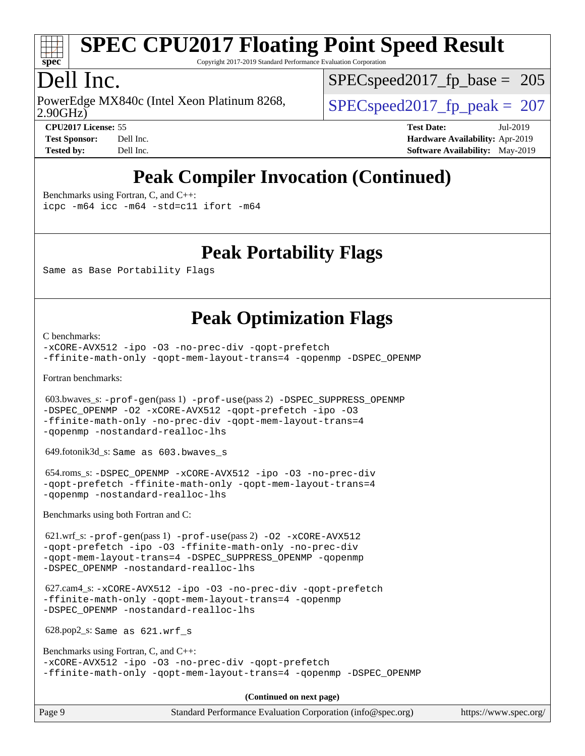

Copyright 2017-2019 Standard Performance Evaluation Corporation

# Dell Inc.

2.90GHz) PowerEdge MX840c (Intel Xeon Platinum 8268,  $\vert$  SPECspeed2017 fp\_peak = 207

SPECspeed2017 fp base =  $205$ 

**[CPU2017 License:](http://www.spec.org/auto/cpu2017/Docs/result-fields.html#CPU2017License)** 55 **[Test Date:](http://www.spec.org/auto/cpu2017/Docs/result-fields.html#TestDate)** Jul-2019 **[Test Sponsor:](http://www.spec.org/auto/cpu2017/Docs/result-fields.html#TestSponsor)** Dell Inc. **[Hardware Availability:](http://www.spec.org/auto/cpu2017/Docs/result-fields.html#HardwareAvailability)** Apr-2019 **[Tested by:](http://www.spec.org/auto/cpu2017/Docs/result-fields.html#Testedby)** Dell Inc. **[Software Availability:](http://www.spec.org/auto/cpu2017/Docs/result-fields.html#SoftwareAvailability)** May-2019

# **[Peak Compiler Invocation \(Continued\)](http://www.spec.org/auto/cpu2017/Docs/result-fields.html#PeakCompilerInvocation)**

[Benchmarks using Fortran, C, and C++:](http://www.spec.org/auto/cpu2017/Docs/result-fields.html#BenchmarksusingFortranCandCXX)

[icpc -m64](http://www.spec.org/cpu2017/results/res2019q3/cpu2017-20190805-16503.flags.html#user_CC_CXX_FCpeak_intel_icpc_64bit_4ecb2543ae3f1412ef961e0650ca070fec7b7afdcd6ed48761b84423119d1bf6bdf5cad15b44d48e7256388bc77273b966e5eb805aefd121eb22e9299b2ec9d9) [icc -m64 -std=c11](http://www.spec.org/cpu2017/results/res2019q3/cpu2017-20190805-16503.flags.html#user_CC_CXX_FCpeak_intel_icc_64bit_c11_33ee0cdaae7deeeab2a9725423ba97205ce30f63b9926c2519791662299b76a0318f32ddfffdc46587804de3178b4f9328c46fa7c2b0cd779d7a61945c91cd35) [ifort -m64](http://www.spec.org/cpu2017/results/res2019q3/cpu2017-20190805-16503.flags.html#user_CC_CXX_FCpeak_intel_ifort_64bit_24f2bb282fbaeffd6157abe4f878425411749daecae9a33200eee2bee2fe76f3b89351d69a8130dd5949958ce389cf37ff59a95e7a40d588e8d3a57e0c3fd751)

### **[Peak Portability Flags](http://www.spec.org/auto/cpu2017/Docs/result-fields.html#PeakPortabilityFlags)**

Same as Base Portability Flags

### **[Peak Optimization Flags](http://www.spec.org/auto/cpu2017/Docs/result-fields.html#PeakOptimizationFlags)**

[C benchmarks](http://www.spec.org/auto/cpu2017/Docs/result-fields.html#Cbenchmarks):

[-xCORE-AVX512](http://www.spec.org/cpu2017/results/res2019q3/cpu2017-20190805-16503.flags.html#user_CCpeak_f-xCORE-AVX512) [-ipo](http://www.spec.org/cpu2017/results/res2019q3/cpu2017-20190805-16503.flags.html#user_CCpeak_f-ipo) [-O3](http://www.spec.org/cpu2017/results/res2019q3/cpu2017-20190805-16503.flags.html#user_CCpeak_f-O3) [-no-prec-div](http://www.spec.org/cpu2017/results/res2019q3/cpu2017-20190805-16503.flags.html#user_CCpeak_f-no-prec-div) [-qopt-prefetch](http://www.spec.org/cpu2017/results/res2019q3/cpu2017-20190805-16503.flags.html#user_CCpeak_f-qopt-prefetch) [-ffinite-math-only](http://www.spec.org/cpu2017/results/res2019q3/cpu2017-20190805-16503.flags.html#user_CCpeak_f_finite_math_only_cb91587bd2077682c4b38af759c288ed7c732db004271a9512da14a4f8007909a5f1427ecbf1a0fb78ff2a814402c6114ac565ca162485bbcae155b5e4258871) [-qopt-mem-layout-trans=4](http://www.spec.org/cpu2017/results/res2019q3/cpu2017-20190805-16503.flags.html#user_CCpeak_f-qopt-mem-layout-trans_fa39e755916c150a61361b7846f310bcdf6f04e385ef281cadf3647acec3f0ae266d1a1d22d972a7087a248fd4e6ca390a3634700869573d231a252c784941a8) [-qopenmp](http://www.spec.org/cpu2017/results/res2019q3/cpu2017-20190805-16503.flags.html#user_CCpeak_qopenmp_16be0c44f24f464004c6784a7acb94aca937f053568ce72f94b139a11c7c168634a55f6653758ddd83bcf7b8463e8028bb0b48b77bcddc6b78d5d95bb1df2967) [-DSPEC\\_OPENMP](http://www.spec.org/cpu2017/results/res2019q3/cpu2017-20190805-16503.flags.html#suite_CCpeak_DSPEC_OPENMP)

[Fortran benchmarks](http://www.spec.org/auto/cpu2017/Docs/result-fields.html#Fortranbenchmarks):

 603.bwaves\_s: [-prof-gen](http://www.spec.org/cpu2017/results/res2019q3/cpu2017-20190805-16503.flags.html#user_peakPASS1_FFLAGSPASS1_LDFLAGS603_bwaves_s_prof_gen_5aa4926d6013ddb2a31985c654b3eb18169fc0c6952a63635c234f711e6e63dd76e94ad52365559451ec499a2cdb89e4dc58ba4c67ef54ca681ffbe1461d6b36)(pass 1) [-prof-use](http://www.spec.org/cpu2017/results/res2019q3/cpu2017-20190805-16503.flags.html#user_peakPASS2_FFLAGSPASS2_LDFLAGS603_bwaves_s_prof_use_1a21ceae95f36a2b53c25747139a6c16ca95bd9def2a207b4f0849963b97e94f5260e30a0c64f4bb623698870e679ca08317ef8150905d41bd88c6f78df73f19)(pass 2) [-DSPEC\\_SUPPRESS\\_OPENMP](http://www.spec.org/cpu2017/results/res2019q3/cpu2017-20190805-16503.flags.html#suite_peakPASS1_FOPTIMIZE603_bwaves_s_DSPEC_SUPPRESS_OPENMP) [-DSPEC\\_OPENMP](http://www.spec.org/cpu2017/results/res2019q3/cpu2017-20190805-16503.flags.html#suite_peakPASS2_FOPTIMIZE603_bwaves_s_DSPEC_OPENMP) [-O2](http://www.spec.org/cpu2017/results/res2019q3/cpu2017-20190805-16503.flags.html#user_peakPASS1_FOPTIMIZE603_bwaves_s_f-O2) [-xCORE-AVX512](http://www.spec.org/cpu2017/results/res2019q3/cpu2017-20190805-16503.flags.html#user_peakPASS2_FOPTIMIZE603_bwaves_s_f-xCORE-AVX512) [-qopt-prefetch](http://www.spec.org/cpu2017/results/res2019q3/cpu2017-20190805-16503.flags.html#user_peakPASS1_FOPTIMIZEPASS2_FOPTIMIZE603_bwaves_s_f-qopt-prefetch) [-ipo](http://www.spec.org/cpu2017/results/res2019q3/cpu2017-20190805-16503.flags.html#user_peakPASS2_FOPTIMIZE603_bwaves_s_f-ipo) [-O3](http://www.spec.org/cpu2017/results/res2019q3/cpu2017-20190805-16503.flags.html#user_peakPASS2_FOPTIMIZE603_bwaves_s_f-O3) [-ffinite-math-only](http://www.spec.org/cpu2017/results/res2019q3/cpu2017-20190805-16503.flags.html#user_peakPASS1_FOPTIMIZEPASS2_FOPTIMIZE603_bwaves_s_f_finite_math_only_cb91587bd2077682c4b38af759c288ed7c732db004271a9512da14a4f8007909a5f1427ecbf1a0fb78ff2a814402c6114ac565ca162485bbcae155b5e4258871) [-no-prec-div](http://www.spec.org/cpu2017/results/res2019q3/cpu2017-20190805-16503.flags.html#user_peakPASS2_FOPTIMIZE603_bwaves_s_f-no-prec-div) [-qopt-mem-layout-trans=4](http://www.spec.org/cpu2017/results/res2019q3/cpu2017-20190805-16503.flags.html#user_peakPASS1_FOPTIMIZEPASS2_FOPTIMIZE603_bwaves_s_f-qopt-mem-layout-trans_fa39e755916c150a61361b7846f310bcdf6f04e385ef281cadf3647acec3f0ae266d1a1d22d972a7087a248fd4e6ca390a3634700869573d231a252c784941a8) [-qopenmp](http://www.spec.org/cpu2017/results/res2019q3/cpu2017-20190805-16503.flags.html#user_peakPASS2_FOPTIMIZE603_bwaves_s_qopenmp_16be0c44f24f464004c6784a7acb94aca937f053568ce72f94b139a11c7c168634a55f6653758ddd83bcf7b8463e8028bb0b48b77bcddc6b78d5d95bb1df2967) [-nostandard-realloc-lhs](http://www.spec.org/cpu2017/results/res2019q3/cpu2017-20190805-16503.flags.html#user_peakEXTRA_FOPTIMIZE603_bwaves_s_f_2003_std_realloc_82b4557e90729c0f113870c07e44d33d6f5a304b4f63d4c15d2d0f1fab99f5daaed73bdb9275d9ae411527f28b936061aa8b9c8f2d63842963b95c9dd6426b8a)

649.fotonik3d\_s: Same as 603.bwaves\_s

 654.roms\_s: [-DSPEC\\_OPENMP](http://www.spec.org/cpu2017/results/res2019q3/cpu2017-20190805-16503.flags.html#suite_peakFOPTIMIZE654_roms_s_DSPEC_OPENMP) [-xCORE-AVX512](http://www.spec.org/cpu2017/results/res2019q3/cpu2017-20190805-16503.flags.html#user_peakFOPTIMIZE654_roms_s_f-xCORE-AVX512) [-ipo](http://www.spec.org/cpu2017/results/res2019q3/cpu2017-20190805-16503.flags.html#user_peakFOPTIMIZE654_roms_s_f-ipo) [-O3](http://www.spec.org/cpu2017/results/res2019q3/cpu2017-20190805-16503.flags.html#user_peakFOPTIMIZE654_roms_s_f-O3) [-no-prec-div](http://www.spec.org/cpu2017/results/res2019q3/cpu2017-20190805-16503.flags.html#user_peakFOPTIMIZE654_roms_s_f-no-prec-div) [-qopt-prefetch](http://www.spec.org/cpu2017/results/res2019q3/cpu2017-20190805-16503.flags.html#user_peakFOPTIMIZE654_roms_s_f-qopt-prefetch) [-ffinite-math-only](http://www.spec.org/cpu2017/results/res2019q3/cpu2017-20190805-16503.flags.html#user_peakFOPTIMIZE654_roms_s_f_finite_math_only_cb91587bd2077682c4b38af759c288ed7c732db004271a9512da14a4f8007909a5f1427ecbf1a0fb78ff2a814402c6114ac565ca162485bbcae155b5e4258871) [-qopt-mem-layout-trans=4](http://www.spec.org/cpu2017/results/res2019q3/cpu2017-20190805-16503.flags.html#user_peakFOPTIMIZE654_roms_s_f-qopt-mem-layout-trans_fa39e755916c150a61361b7846f310bcdf6f04e385ef281cadf3647acec3f0ae266d1a1d22d972a7087a248fd4e6ca390a3634700869573d231a252c784941a8) [-qopenmp](http://www.spec.org/cpu2017/results/res2019q3/cpu2017-20190805-16503.flags.html#user_peakFOPTIMIZE654_roms_s_qopenmp_16be0c44f24f464004c6784a7acb94aca937f053568ce72f94b139a11c7c168634a55f6653758ddd83bcf7b8463e8028bb0b48b77bcddc6b78d5d95bb1df2967) [-nostandard-realloc-lhs](http://www.spec.org/cpu2017/results/res2019q3/cpu2017-20190805-16503.flags.html#user_peakEXTRA_FOPTIMIZE654_roms_s_f_2003_std_realloc_82b4557e90729c0f113870c07e44d33d6f5a304b4f63d4c15d2d0f1fab99f5daaed73bdb9275d9ae411527f28b936061aa8b9c8f2d63842963b95c9dd6426b8a)

[Benchmarks using both Fortran and C](http://www.spec.org/auto/cpu2017/Docs/result-fields.html#BenchmarksusingbothFortranandC):

 621.wrf\_s: [-prof-gen](http://www.spec.org/cpu2017/results/res2019q3/cpu2017-20190805-16503.flags.html#user_peakPASS1_CFLAGSPASS1_FFLAGSPASS1_LDFLAGS621_wrf_s_prof_gen_5aa4926d6013ddb2a31985c654b3eb18169fc0c6952a63635c234f711e6e63dd76e94ad52365559451ec499a2cdb89e4dc58ba4c67ef54ca681ffbe1461d6b36)(pass 1) [-prof-use](http://www.spec.org/cpu2017/results/res2019q3/cpu2017-20190805-16503.flags.html#user_peakPASS2_CFLAGSPASS2_FFLAGSPASS2_LDFLAGS621_wrf_s_prof_use_1a21ceae95f36a2b53c25747139a6c16ca95bd9def2a207b4f0849963b97e94f5260e30a0c64f4bb623698870e679ca08317ef8150905d41bd88c6f78df73f19)(pass 2) [-O2](http://www.spec.org/cpu2017/results/res2019q3/cpu2017-20190805-16503.flags.html#user_peakPASS1_COPTIMIZEPASS1_FOPTIMIZE621_wrf_s_f-O2) [-xCORE-AVX512](http://www.spec.org/cpu2017/results/res2019q3/cpu2017-20190805-16503.flags.html#user_peakPASS2_COPTIMIZEPASS2_FOPTIMIZE621_wrf_s_f-xCORE-AVX512) [-qopt-prefetch](http://www.spec.org/cpu2017/results/res2019q3/cpu2017-20190805-16503.flags.html#user_peakPASS1_COPTIMIZEPASS1_FOPTIMIZEPASS2_COPTIMIZEPASS2_FOPTIMIZE621_wrf_s_f-qopt-prefetch) [-ipo](http://www.spec.org/cpu2017/results/res2019q3/cpu2017-20190805-16503.flags.html#user_peakPASS2_COPTIMIZEPASS2_FOPTIMIZE621_wrf_s_f-ipo) [-O3](http://www.spec.org/cpu2017/results/res2019q3/cpu2017-20190805-16503.flags.html#user_peakPASS2_COPTIMIZEPASS2_FOPTIMIZE621_wrf_s_f-O3) [-ffinite-math-only](http://www.spec.org/cpu2017/results/res2019q3/cpu2017-20190805-16503.flags.html#user_peakPASS1_COPTIMIZEPASS1_FOPTIMIZEPASS2_COPTIMIZEPASS2_FOPTIMIZE621_wrf_s_f_finite_math_only_cb91587bd2077682c4b38af759c288ed7c732db004271a9512da14a4f8007909a5f1427ecbf1a0fb78ff2a814402c6114ac565ca162485bbcae155b5e4258871) [-no-prec-div](http://www.spec.org/cpu2017/results/res2019q3/cpu2017-20190805-16503.flags.html#user_peakPASS2_COPTIMIZEPASS2_FOPTIMIZE621_wrf_s_f-no-prec-div) [-qopt-mem-layout-trans=4](http://www.spec.org/cpu2017/results/res2019q3/cpu2017-20190805-16503.flags.html#user_peakPASS1_COPTIMIZEPASS1_FOPTIMIZEPASS2_COPTIMIZEPASS2_FOPTIMIZE621_wrf_s_f-qopt-mem-layout-trans_fa39e755916c150a61361b7846f310bcdf6f04e385ef281cadf3647acec3f0ae266d1a1d22d972a7087a248fd4e6ca390a3634700869573d231a252c784941a8) [-DSPEC\\_SUPPRESS\\_OPENMP](http://www.spec.org/cpu2017/results/res2019q3/cpu2017-20190805-16503.flags.html#suite_peakPASS1_COPTIMIZEPASS1_FOPTIMIZE621_wrf_s_DSPEC_SUPPRESS_OPENMP) [-qopenmp](http://www.spec.org/cpu2017/results/res2019q3/cpu2017-20190805-16503.flags.html#user_peakPASS2_COPTIMIZEPASS2_FOPTIMIZE621_wrf_s_qopenmp_16be0c44f24f464004c6784a7acb94aca937f053568ce72f94b139a11c7c168634a55f6653758ddd83bcf7b8463e8028bb0b48b77bcddc6b78d5d95bb1df2967) [-DSPEC\\_OPENMP](http://www.spec.org/cpu2017/results/res2019q3/cpu2017-20190805-16503.flags.html#suite_peakPASS2_COPTIMIZEPASS2_FOPTIMIZE621_wrf_s_DSPEC_OPENMP) [-nostandard-realloc-lhs](http://www.spec.org/cpu2017/results/res2019q3/cpu2017-20190805-16503.flags.html#user_peakEXTRA_FOPTIMIZE621_wrf_s_f_2003_std_realloc_82b4557e90729c0f113870c07e44d33d6f5a304b4f63d4c15d2d0f1fab99f5daaed73bdb9275d9ae411527f28b936061aa8b9c8f2d63842963b95c9dd6426b8a)

 627.cam4\_s: [-xCORE-AVX512](http://www.spec.org/cpu2017/results/res2019q3/cpu2017-20190805-16503.flags.html#user_peakCOPTIMIZEFOPTIMIZE627_cam4_s_f-xCORE-AVX512) [-ipo](http://www.spec.org/cpu2017/results/res2019q3/cpu2017-20190805-16503.flags.html#user_peakCOPTIMIZEFOPTIMIZE627_cam4_s_f-ipo) [-O3](http://www.spec.org/cpu2017/results/res2019q3/cpu2017-20190805-16503.flags.html#user_peakCOPTIMIZEFOPTIMIZE627_cam4_s_f-O3) [-no-prec-div](http://www.spec.org/cpu2017/results/res2019q3/cpu2017-20190805-16503.flags.html#user_peakCOPTIMIZEFOPTIMIZE627_cam4_s_f-no-prec-div) [-qopt-prefetch](http://www.spec.org/cpu2017/results/res2019q3/cpu2017-20190805-16503.flags.html#user_peakCOPTIMIZEFOPTIMIZE627_cam4_s_f-qopt-prefetch) [-ffinite-math-only](http://www.spec.org/cpu2017/results/res2019q3/cpu2017-20190805-16503.flags.html#user_peakCOPTIMIZEFOPTIMIZE627_cam4_s_f_finite_math_only_cb91587bd2077682c4b38af759c288ed7c732db004271a9512da14a4f8007909a5f1427ecbf1a0fb78ff2a814402c6114ac565ca162485bbcae155b5e4258871) [-qopt-mem-layout-trans=4](http://www.spec.org/cpu2017/results/res2019q3/cpu2017-20190805-16503.flags.html#user_peakCOPTIMIZEFOPTIMIZE627_cam4_s_f-qopt-mem-layout-trans_fa39e755916c150a61361b7846f310bcdf6f04e385ef281cadf3647acec3f0ae266d1a1d22d972a7087a248fd4e6ca390a3634700869573d231a252c784941a8) [-qopenmp](http://www.spec.org/cpu2017/results/res2019q3/cpu2017-20190805-16503.flags.html#user_peakCOPTIMIZEFOPTIMIZE627_cam4_s_qopenmp_16be0c44f24f464004c6784a7acb94aca937f053568ce72f94b139a11c7c168634a55f6653758ddd83bcf7b8463e8028bb0b48b77bcddc6b78d5d95bb1df2967) [-DSPEC\\_OPENMP](http://www.spec.org/cpu2017/results/res2019q3/cpu2017-20190805-16503.flags.html#suite_peakCOPTIMIZEFOPTIMIZE627_cam4_s_DSPEC_OPENMP) [-nostandard-realloc-lhs](http://www.spec.org/cpu2017/results/res2019q3/cpu2017-20190805-16503.flags.html#user_peakEXTRA_FOPTIMIZE627_cam4_s_f_2003_std_realloc_82b4557e90729c0f113870c07e44d33d6f5a304b4f63d4c15d2d0f1fab99f5daaed73bdb9275d9ae411527f28b936061aa8b9c8f2d63842963b95c9dd6426b8a)

628.pop2\_s: Same as 621.wrf\_s

[Benchmarks using Fortran, C, and C++:](http://www.spec.org/auto/cpu2017/Docs/result-fields.html#BenchmarksusingFortranCandCXX) [-xCORE-AVX512](http://www.spec.org/cpu2017/results/res2019q3/cpu2017-20190805-16503.flags.html#user_CC_CXX_FCpeak_f-xCORE-AVX512) [-ipo](http://www.spec.org/cpu2017/results/res2019q3/cpu2017-20190805-16503.flags.html#user_CC_CXX_FCpeak_f-ipo) [-O3](http://www.spec.org/cpu2017/results/res2019q3/cpu2017-20190805-16503.flags.html#user_CC_CXX_FCpeak_f-O3) [-no-prec-div](http://www.spec.org/cpu2017/results/res2019q3/cpu2017-20190805-16503.flags.html#user_CC_CXX_FCpeak_f-no-prec-div) [-qopt-prefetch](http://www.spec.org/cpu2017/results/res2019q3/cpu2017-20190805-16503.flags.html#user_CC_CXX_FCpeak_f-qopt-prefetch) [-ffinite-math-only](http://www.spec.org/cpu2017/results/res2019q3/cpu2017-20190805-16503.flags.html#user_CC_CXX_FCpeak_f_finite_math_only_cb91587bd2077682c4b38af759c288ed7c732db004271a9512da14a4f8007909a5f1427ecbf1a0fb78ff2a814402c6114ac565ca162485bbcae155b5e4258871) [-qopt-mem-layout-trans=4](http://www.spec.org/cpu2017/results/res2019q3/cpu2017-20190805-16503.flags.html#user_CC_CXX_FCpeak_f-qopt-mem-layout-trans_fa39e755916c150a61361b7846f310bcdf6f04e385ef281cadf3647acec3f0ae266d1a1d22d972a7087a248fd4e6ca390a3634700869573d231a252c784941a8) [-qopenmp](http://www.spec.org/cpu2017/results/res2019q3/cpu2017-20190805-16503.flags.html#user_CC_CXX_FCpeak_qopenmp_16be0c44f24f464004c6784a7acb94aca937f053568ce72f94b139a11c7c168634a55f6653758ddd83bcf7b8463e8028bb0b48b77bcddc6b78d5d95bb1df2967) [-DSPEC\\_OPENMP](http://www.spec.org/cpu2017/results/res2019q3/cpu2017-20190805-16503.flags.html#suite_CC_CXX_FCpeak_DSPEC_OPENMP)

**(Continued on next page)**